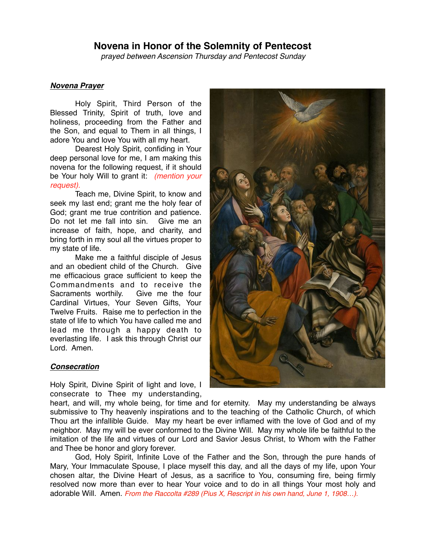## **Novena in Honor of the Solemnity of Pentecost**

*prayed between Ascension Thursday and Pentecost Sunday*

## *Novena Prayer*

Holy Spirit, Third Person of the Blessed Trinity, Spirit of truth, love and holiness, proceeding from the Father and the Son, and equal to Them in all things, I adore You and love You with all my heart.

Dearest Holy Spirit, confiding in Your deep personal love for me, I am making this novena for the following request, if it should be Your holy Will to grant it: *(mention your request).*

Teach me, Divine Spirit, to know and seek my last end; grant me the holy fear of God; grant me true contrition and patience. Do not let me fall into sin. Give me an increase of faith, hope, and charity, and bring forth in my soul all the virtues proper to my state of life.

Make me a faithful disciple of Jesus and an obedient child of the Church. Give me efficacious grace sufficient to keep the Commandments and to receive the Sacraments worthily. Give me the four Cardinal Virtues, Your Seven Gifts, Your Twelve Fruits. Raise me to perfection in the state of life to which You have called me and lead me through a happy death to everlasting life. I ask this through Christ our Lord. Amen.

## *Consecration*

Holy Spirit, Divine Spirit of light and love, I consecrate to Thee my understanding,



heart, and will, my whole being, for time and for eternity. May my understanding be always submissive to Thy heavenly inspirations and to the teaching of the Catholic Church, of which Thou art the infallible Guide. May my heart be ever inflamed with the love of God and of my neighbor. May my will be ever conformed to the Divine Will. May my whole life be faithful to the imitation of the life and virtues of our Lord and Savior Jesus Christ, to Whom with the Father and Thee be honor and glory forever.

God, Holy Spirit, Infinite Love of the Father and the Son, through the pure hands of Mary, Your Immaculate Spouse, I place myself this day, and all the days of my life, upon Your chosen altar, the Divine Heart of Jesus, as a sacrifice to You, consuming fire, being firmly resolved now more than ever to hear Your voice and to do in all things Your most holy and adorable Will. Amen. *From the Raccolta #289 (Pius X, Rescript in his own hand, June 1, 1908…).*